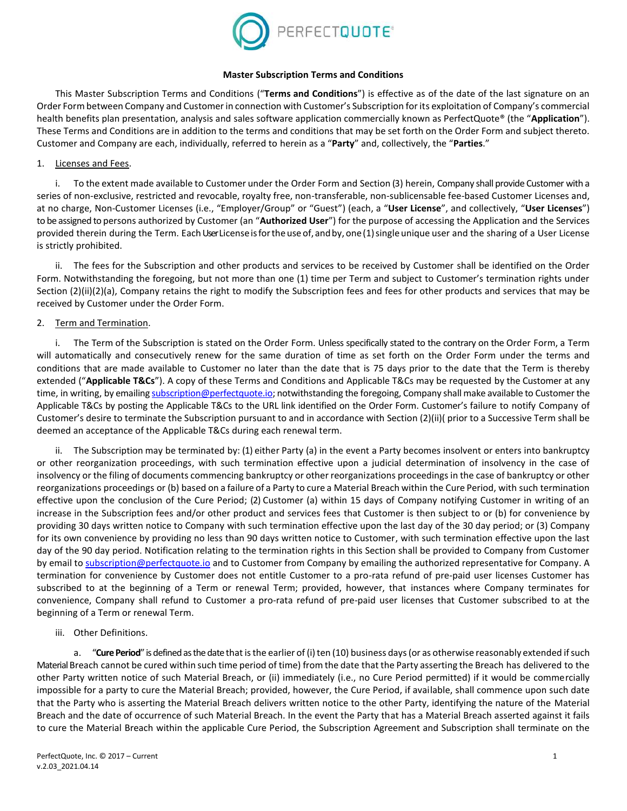

## **Master Subscription Terms and Conditions**

This Master Subscription Terms and Conditions ("**Terms and Conditions**") is effective as of the date of the last signature on an Order Form between Company and Customer in connection with Customer's Subscription for its exploitation of Company's commercial health benefits plan presentation, analysis and sales software application commercially known as PerfectQuote® (the "**Application**"). These Terms and Conditions are in addition to the terms and conditions that may be set forth on the Order Form and subject thereto. Customer and Company are each, individually, referred to herein as a "**Party**" and, collectively, the "**Parties**."

## 1. Licenses and Fees.

i. To the extent made available to Customer under the Order Form and Section (3) herein, Company shall provide Customer with a series of non-exclusive, restricted and revocable, royalty free, non-transferable, non-sublicensable fee-based Customer Licenses and, at no charge, Non-Customer Licenses (i.e., "Employer/Group" or "Guest") (each, a "**User License**", and collectively, "**User Licenses**") to be assigned to persons authorized by Customer (an "**Authorized User**") for the purpose of accessing the Application and the Services provided therein during the Term. Each User License is for the use of, and by, one (1) single unique user and the sharing of a User License is strictly prohibited.

ii. The fees for the Subscription and other products and services to be received by Customer shall be identified on the Order Form. Notwithstanding the foregoing, but not more than one (1) time per Term and subject to Customer's termination rights under Section (2)(ii)(2)(a), Company retains the right to modify the Subscription fees and fees for other products and services that may be received by Customer under the Order Form.

## 2. Term and Termination.

The Term of the Subscription is stated on the Order Form. Unless specifically stated to the contrary on the Order Form, a Term will automatically and consecutively renew for the same duration of time as set forth on the Order Form under the terms and conditions that are made available to Customer no later than the date that is 75 days prior to the date that the Term is thereby extended ("**Applicable T&Cs**"). A copy of these Terms and Conditions and Applicable T&Cs may be requested by the Customer at any time, in writing, by emailin[g subscription@perfectquote.io;](mailto:subscription@perfectquote.io) notwithstanding the foregoing, Company shall make available to Customer the Applicable T&Cs by posting the Applicable T&Cs to the URL link identified on the Order Form. Customer's failure to notify Company of Customer's desire to terminate the Subscription pursuant to and in accordance with Section (2)(ii)( prior to a Successive Term shall be deemed an acceptance of the Applicable T&Cs during each renewal term.

The Subscription may be terminated by: (1) either Party (a) in the event a Party becomes insolvent or enters into bankruptcy or other reorganization proceedings, with such termination effective upon a judicial determination of insolvency in the case of insolvency or the filing of documents commencing bankruptcy or other reorganizations proceedings in the case of bankruptcy or other reorganizations proceedings or (b) based on a failure of a Party to cure a Material Breach within the Cure Period, with such termination effective upon the conclusion of the Cure Period; (2) Customer (a) within 15 days of Company notifying Customer in writing of an increase in the Subscription fees and/or other product and services fees that Customer is then subject to or (b) for convenience by providing 30 days written notice to Company with such termination effective upon the last day of the 30 day period; or (3) Company for its own convenience by providing no less than 90 days written notice to Customer, with such termination effective upon the last day of the 90 day period. Notification relating to the termination rights in this Section shall be provided to Company from Customer by email t[o subscription@perfectquote.io](mailto:subscription@perfectquote.io) and to Customer from Company by emailing the authorized representative for Company. A termination for convenience by Customer does not entitle Customer to a pro-rata refund of pre-paid user licenses Customer has subscribed to at the beginning of a Term or renewal Term; provided, however, that instances where Company terminates for convenience, Company shall refund to Customer a pro-rata refund of pre-paid user licenses that Customer subscribed to at the beginning of a Term or renewal Term.

#### iii. Other Definitions.

a. "Cure Period" is defined as the date that is the earlier of (i)ten (10) business days (or as otherwise reasonably extended if such Material Breach cannot be cured within such time period of time) from the date that the Party asserting the Breach has delivered to the other Party written notice of such Material Breach, or (ii) immediately (i.e., no Cure Period permitted) if it would be commercially impossible for a party to cure the Material Breach; provided, however, the Cure Period, if available, shall commence upon such date that the Party who is asserting the Material Breach delivers written notice to the other Party, identifying the nature of the Material Breach and the date of occurrence of such Material Breach. In the event the Party that has a Material Breach asserted against it fails to cure the Material Breach within the applicable Cure Period, the Subscription Agreement and Subscription shall terminate on the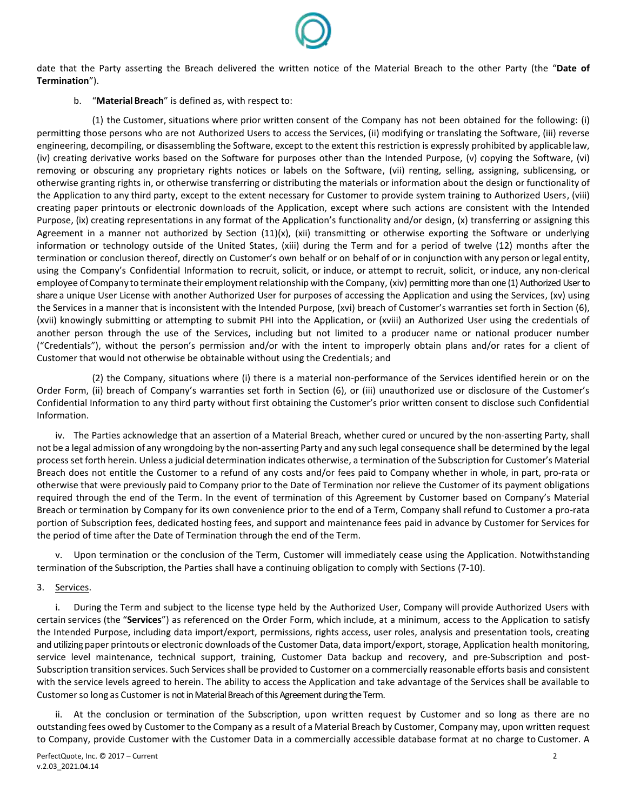date that the Party asserting the Breach delivered the written notice of the Material Breach to the other Party (the "**Date of Termination**").

#### b. "**Material Breach**" is defined as, with respect to:

(1) the Customer, situations where prior written consent of the Company has not been obtained for the following: (i) permitting those persons who are not Authorized Users to access the Services, (ii) modifying or translating the Software, (iii) reverse engineering, decompiling, or disassembling the Software, except to the extent this restriction is expressly prohibited by applicablelaw, (iv) creating derivative works based on the Software for purposes other than the Intended Purpose, (v) copying the Software, (vi) removing or obscuring any proprietary rights notices or labels on the Software, (vii) renting, selling, assigning, sublicensing, or otherwise granting rights in, or otherwise transferring or distributing the materials or information about the design or functionality of the Application to any third party, except to the extent necessary for Customer to provide system training to Authorized Users, (viii) creating paper printouts or electronic downloads of the Application, except where such actions are consistent with the Intended Purpose, (ix) creating representations in any format of the Application's functionality and/or design, (x) transferring or assigning this Agreement in a manner not authorized by Section (11)(x), (xii) transmitting or otherwise exporting the Software or underlying information or technology outside of the United States, (xiii) during the Term and for a period of twelve (12) months after the termination or conclusion thereof, directly on Customer's own behalf or on behalf of or in conjunction with any person orlegal entity, using the Company's Confidential Information to recruit, solicit, or induce, or attempt to recruit, solicit, or induce, any non-clerical employee of Company to terminate their employment relationship with the Company, (xiv) permitting more than one (1) Authorized User to share a unique User License with another Authorized User for purposes of accessing the Application and using the Services, (xv) using the Services in a manner that is inconsistent with the Intended Purpose, (xvi) breach of Customer's warranties set forth in Section (6), (xvii) knowingly submitting or attempting to submit PHI into the Application, or (xviii) an Authorized User using the credentials of another person through the use of the Services, including but not limited to a producer name or national producer number ("Credentials"), without the person's permission and/or with the intent to improperly obtain plans and/or rates for a client of Customer that would not otherwise be obtainable without using the Credentials; and

(2) the Company, situations where (i) there is a material non-performance of the Services identified herein or on the Order Form, (ii) breach of Company's warranties set forth in Section (6), or (iii) unauthorized use or disclosure of the Customer's Confidential Information to any third party without first obtaining the Customer's prior written consent to disclose such Confidential Information.

iv. The Parties acknowledge that an assertion of a Material Breach, whether cured or uncured by the non-asserting Party, shall not be a legal admission of any wrongdoing by the non-asserting Party and any such legal consequence shall be determined by the legal process set forth herein. Unless a judicial determination indicates otherwise, a termination of the Subscription for Customer's Material Breach does not entitle the Customer to a refund of any costs and/or fees paid to Company whether in whole, in part, pro-rata or otherwise that were previously paid to Company prior to the Date of Termination nor relieve the Customer of its payment obligations required through the end of the Term. In the event of termination of this Agreement by Customer based on Company's Material Breach or termination by Company for its own convenience prior to the end of a Term, Company shall refund to Customer a pro-rata portion of Subscription fees, dedicated hosting fees, and support and maintenance fees paid in advance by Customer for Services for the period of time after the Date of Termination through the end of the Term.

v. Upon termination or the conclusion of the Term, Customer will immediately cease using the Application. Notwithstanding termination of the Subscription, the Parties shall have a continuing obligation to comply with Sections (7-10).

#### 3. Services.

i. During the Term and subject to the license type held by the Authorized User, Company will provide Authorized Users with certain services (the "**Services**") as referenced on the Order Form, which include, at a minimum, access to the Application to satisfy the Intended Purpose, including data import/export, permissions, rights access, user roles, analysis and presentation tools, creating and utilizing paper printouts or electronic downloads of the Customer Data, data import/export, storage, Application health monitoring, service level maintenance, technical support, training, Customer Data backup and recovery, and pre-Subscription and post-Subscription transition services. Such Services shall be provided to Customer on a commercially reasonable efforts basis and consistent with the service levels agreed to herein. The ability to access the Application and take advantage of the Services shall be available to Customer so long as Customer is not in Material Breach of this Agreement during the Term.

ii. At the conclusion or termination of the Subscription, upon written request by Customer and so long as there are no outstanding fees owed by Customer to the Company as a result of a Material Breach by Customer, Company may, upon written request to Company, provide Customer with the Customer Data in a commercially accessible database format at no charge to Customer. A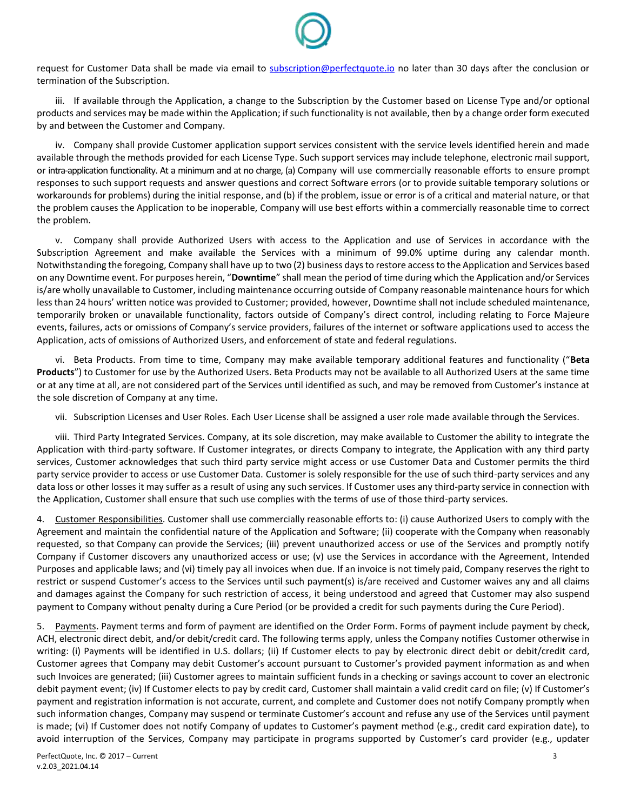

iii. If available through the Application, a change to the Subscription by the Customer based on License Type and/or optional products and services may be made within the Application; if such functionality is not available, then by a change order form executed by and between the Customer and Company.

iv. Company shall provide Customer application support services consistent with the service levels identified herein and made available through the methods provided for each License Type. Such support services may include telephone, electronic mail support, or intra-application functionality. At a minimum and at no charge, (a) Company will use commercially reasonable efforts to ensure prompt responses to such support requests and answer questions and correct Software errors (or to provide suitable temporary solutions or workarounds for problems) during the initial response, and (b) if the problem, issue or error is of a critical and material nature, or that the problem causes the Application to be inoperable, Company will use best efforts within a commercially reasonable time to correct the problem.

v. Company shall provide Authorized Users with access to the Application and use of Services in accordance with the Subscription Agreement and make available the Services with a minimum of 99.0% uptime during any calendar month. Notwithstanding the foregoing, Company shall have up to two (2) business daysto restore access to the Application and Services based on any Downtime event. For purposes herein, "**Downtime**" shall mean the period of time during which the Application and/or Services is/are wholly unavailable to Customer, including maintenance occurring outside of Company reasonable maintenance hours for which less than 24 hours' written notice was provided to Customer; provided, however, Downtime shall not include scheduled maintenance, temporarily broken or unavailable functionality, factors outside of Company's direct control, including relating to Force Majeure events, failures, acts or omissions of Company's service providers, failures of the internet or software applications used to access the Application, acts of omissions of Authorized Users, and enforcement of state and federal regulations.

vi. Beta Products. From time to time, Company may make available temporary additional features and functionality ("**Beta Products**") to Customer for use by the Authorized Users. Beta Products may not be available to all Authorized Users at the same time or at any time at all, are not considered part of the Services until identified as such, and may be removed from Customer's instance at the sole discretion of Company at any time.

vii. Subscription Licenses and User Roles. Each User License shall be assigned a user role made available through the Services.

viii. Third Party Integrated Services. Company, at its sole discretion, may make available to Customer the ability to integrate the Application with third-party software. If Customer integrates, or directs Company to integrate, the Application with any third party services, Customer acknowledges that such third party service might access or use Customer Data and Customer permits the third party service provider to access or use Customer Data. Customer is solely responsible for the use of such third-party services and any data loss or other losses it may suffer as a result of using any such services. If Customer uses any third-party service in connection with the Application, Customer shall ensure that such use complies with the terms of use of those third-party services.

4. Customer Responsibilities. Customer shall use commercially reasonable efforts to: (i) cause Authorized Users to comply with the Agreement and maintain the confidential nature of the Application and Software; (ii) cooperate with the Company when reasonably requested, so that Company can provide the Services; (iii) prevent unauthorized access or use of the Services and promptly notify Company if Customer discovers any unauthorized access or use; (v) use the Services in accordance with the Agreement, Intended Purposes and applicable laws; and (vi) timely pay all invoices when due. If an invoice is not timely paid, Company reserves the right to restrict or suspend Customer's access to the Services until such payment(s) is/are received and Customer waives any and all claims and damages against the Company for such restriction of access, it being understood and agreed that Customer may also suspend payment to Company without penalty during a Cure Period (or be provided a credit for such payments during the Cure Period).

5. Payments. Payment terms and form of payment are identified on the Order Form. Forms of payment include payment by check, ACH, electronic direct debit, and/or debit/credit card. The following terms apply, unless the Company notifies Customer otherwise in writing: (i) Payments will be identified in U.S. dollars; (ii) If Customer elects to pay by electronic direct debit or debit/credit card, Customer agrees that Company may debit Customer's account pursuant to Customer's provided payment information as and when such Invoices are generated; (iii) Customer agrees to maintain sufficient funds in a checking or savings account to cover an electronic debit payment event; (iv) If Customer elects to pay by credit card, Customer shall maintain a valid credit card on file; (v) If Customer's payment and registration information is not accurate, current, and complete and Customer does not notify Company promptly when such information changes, Company may suspend or terminate Customer's account and refuse any use of the Services until payment is made; (vi) If Customer does not notify Company of updates to Customer's payment method (e.g., credit card expiration date), to avoid interruption of the Services, Company may participate in programs supported by Customer's card provider (e.g., updater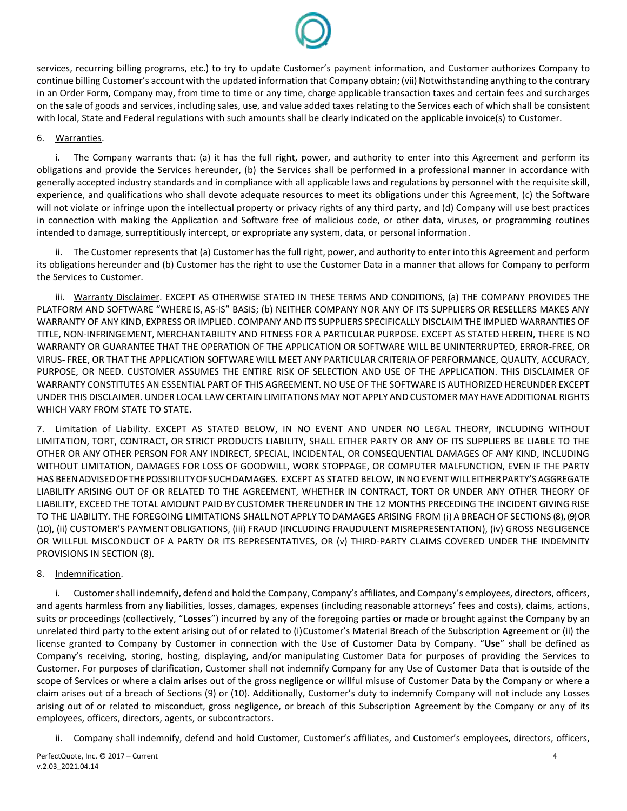

services, recurring billing programs, etc.) to try to update Customer's payment information, and Customer authorizes Company to continue billing Customer's account with the updated information that Company obtain; (vii) Notwithstanding anything to the contrary in an Order Form, Company may, from time to time or any time, charge applicable transaction taxes and certain fees and surcharges on the sale of goods and services, including sales, use, and value added taxes relating to the Services each of which shall be consistent with local, State and Federal regulations with such amounts shall be clearly indicated on the applicable invoice(s) to Customer.

# 6. Warranties.

i. The Company warrants that: (a) it has the full right, power, and authority to enter into this Agreement and perform its obligations and provide the Services hereunder, (b) the Services shall be performed in a professional manner in accordance with generally accepted industry standards and in compliance with all applicable laws and regulations by personnel with the requisite skill, experience, and qualifications who shall devote adequate resources to meet its obligations under this Agreement, (c) the Software will not violate or infringe upon the intellectual property or privacy rights of any third party, and (d) Company will use best practices in connection with making the Application and Software free of malicious code, or other data, viruses, or programming routines intended to damage, surreptitiously intercept, or expropriate any system, data, or personal information.

ii. The Customer represents that (a) Customer has the full right, power, and authority to enter into this Agreement and perform its obligations hereunder and (b) Customer has the right to use the Customer Data in a manner that allows for Company to perform the Services to Customer.

iii. Warranty Disclaimer. EXCEPT AS OTHERWISE STATED IN THESE TERMS AND CONDITIONS, (a) THE COMPANY PROVIDES THE PLATFORM AND SOFTWARE "WHERE IS, AS-IS" BASIS; (b) NEITHER COMPANY NOR ANY OF ITS SUPPLIERS OR RESELLERS MAKES ANY WARRANTY OF ANY KIND, EXPRESS OR IMPLIED. COMPANY AND ITS SUPPLIERS SPECIFICALLY DISCLAIM THE IMPLIED WARRANTIES OF TITLE, NON-INFRINGEMENT, MERCHANTABILITY AND FITNESS FOR A PARTICULAR PURPOSE. EXCEPT AS STATED HEREIN, THERE IS NO WARRANTY OR GUARANTEE THAT THE OPERATION OF THE APPLICATION OR SOFTWARE WILL BE UNINTERRUPTED, ERROR-FREE, OR VIRUS- FREE, OR THAT THE APPLICATION SOFTWARE WILL MEET ANY PARTICULAR CRITERIA OF PERFORMANCE, QUALITY, ACCURACY, PURPOSE, OR NEED. CUSTOMER ASSUMES THE ENTIRE RISK OF SELECTION AND USE OF THE APPLICATION. THIS DISCLAIMER OF WARRANTY CONSTITUTES AN ESSENTIAL PART OF THIS AGREEMENT. NO USE OF THE SOFTWARE IS AUTHORIZED HEREUNDER EXCEPT UNDER THIS DISCLAIMER. UNDER LOCAL LAW CERTAIN LIMITATIONS MAY NOT APPLY ANDCUSTOMER MAYHAVE ADDITIONAL RIGHTS WHICH VARY FROM STATE TO STATE.

7. Limitation of Liability. EXCEPT AS STATED BELOW, IN NO EVENT AND UNDER NO LEGAL THEORY, INCLUDING WITHOUT LIMITATION, TORT, CONTRACT, OR STRICT PRODUCTS LIABILITY, SHALL EITHER PARTY OR ANY OF ITS SUPPLIERS BE LIABLE TO THE OTHER OR ANY OTHER PERSON FOR ANY INDIRECT, SPECIAL, INCIDENTAL, OR CONSEQUENTIAL DAMAGES OF ANY KIND, INCLUDING WITHOUT LIMITATION, DAMAGES FOR LOSS OF GOODWILL, WORK STOPPAGE, OR COMPUTER MALFUNCTION, EVEN IF THE PARTY HAS BEENADVISEDOFTHEPOSSIBILITYOFSUCHDAMAGES. EXCEPT AS STATED BELOW, INNOEVENTWILLEITHERPARTY'S AGGREGATE LIABILITY ARISING OUT OF OR RELATED TO THE AGREEMENT, WHETHER IN CONTRACT, TORT OR UNDER ANY OTHER THEORY OF LIABILITY, EXCEED THE TOTAL AMOUNT PAID BY CUSTOMER THEREUNDER IN THE 12 MONTHS PRECEDING THE INCIDENT GIVING RISE TO THE LIABILITY. THE FOREGOING LIMITATIONS SHALL NOT APPLY TO DAMAGES ARISING FROM (i) A BREACH OF SECTIONS (8),(9)OR (10), (ii) CUSTOMER'S PAYMENTOBLIGATIONS, (iii) FRAUD (INCLUDING FRAUDULENT MISREPRESENTATION), (iv) GROSS NEGLIGENCE OR WILLFUL MISCONDUCT OF A PARTY OR ITS REPRESENTATIVES, OR (v) THIRD-PARTY CLAIMS COVERED UNDER THE INDEMNITY PROVISIONS IN SECTION (8).

# 8. Indemnification.

i. Customer shall indemnify, defend and hold the Company, Company's affiliates, and Company's employees, directors, officers, and agents harmless from any liabilities, losses, damages, expenses (including reasonable attorneys' fees and costs), claims, actions, suits or proceedings (collectively, "**Losses**") incurred by any of the foregoing parties or made or brought against the Company by an unrelated third party to the extent arising out of or related to (i)Customer's Material Breach of the Subscription Agreement or (ii) the license granted to Company by Customer in connection with the Use of Customer Data by Company. "**Use**" shall be defined as Company's receiving, storing, hosting, displaying, and/or manipulating Customer Data for purposes of providing the Services to Customer. For purposes of clarification, Customer shall not indemnify Company for any Use of Customer Data that is outside of the scope of Services or where a claim arises out of the gross negligence or willful misuse of Customer Data by the Company or where a claim arises out of a breach of Sections (9) or (10). Additionally, Customer's duty to indemnify Company will not include any Losses arising out of or related to misconduct, gross negligence, or breach of this Subscription Agreement by the Company or any of its employees, officers, directors, agents, or subcontractors.

ii. Company shall indemnify, defend and hold Customer, Customer's affiliates, and Customer's employees, directors, officers,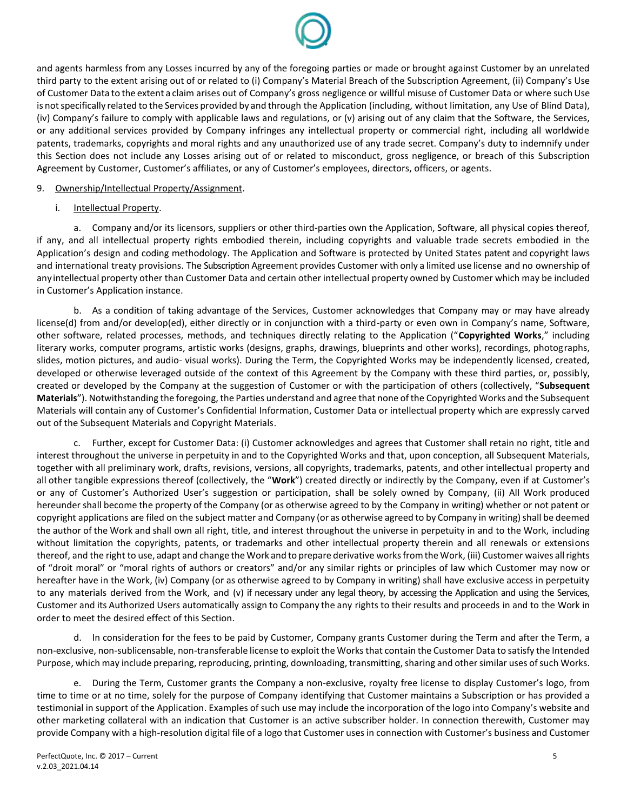

and agents harmless from any Losses incurred by any of the foregoing parties or made or brought against Customer by an unrelated third party to the extent arising out of or related to (i) Company's Material Breach of the Subscription Agreement, (ii) Company's Use of Customer Data to the extent a claim arises out of Company's gross negligence or willful misuse of Customer Data or where suchUse is notspecifically related to the Services provided by and through the Application (including, without limitation, any Use of Blind Data), (iv) Company's failure to comply with applicable laws and regulations, or (v) arising out of any claim that the Software, the Services, or any additional services provided by Company infringes any intellectual property or commercial right, including all worldwide patents, trademarks, copyrights and moral rights and any unauthorized use of any trade secret. Company's duty to indemnify under this Section does not include any Losses arising out of or related to misconduct, gross negligence, or breach of this Subscription Agreement by Customer, Customer's affiliates, or any of Customer's employees, directors, officers, or agents.

## 9. Ownership/Intellectual Property/Assignment.

## i. Intellectual Property.

a. Company and/or its licensors, suppliers or other third-parties own the Application, Software, all physical copies thereof, if any, and all intellectual property rights embodied therein, including copyrights and valuable trade secrets embodied in the Application's design and coding methodology. The Application and Software is protected by United States patent and copyright laws and international treaty provisions. The Subscription Agreement provides Customer with only a limited use license and no ownership of any intellectual property other than Customer Data and certain other intellectual property owned by Customer which may be included in Customer's Application instance.

b. As a condition of taking advantage of the Services, Customer acknowledges that Company may or may have already license(d) from and/or develop(ed), either directly or in conjunction with a third-party or even own in Company's name, Software, other software, related processes, methods, and techniques directly relating to the Application ("**Copyrighted Works**," including literary works, computer programs, artistic works (designs, graphs, drawings, blueprints and other works), recordings, photographs, slides, motion pictures, and audio- visual works). During the Term, the Copyrighted Works may be independently licensed, created, developed or otherwise leveraged outside of the context of this Agreement by the Company with these third parties, or, possibly, created or developed by the Company at the suggestion of Customer or with the participation of others (collectively, "**Subsequent Materials**"). Notwithstanding the foregoing, the Parties understand and agree that none of the Copyrighted Works and the Subsequent Materials will contain any of Customer's Confidential Information, Customer Data or intellectual property which are expressly carved out of the Subsequent Materials and Copyright Materials.

c. Further, except for Customer Data: (i) Customer acknowledges and agrees that Customer shall retain no right, title and interest throughout the universe in perpetuity in and to the Copyrighted Works and that, upon conception, all Subsequent Materials, together with all preliminary work, drafts, revisions, versions, all copyrights, trademarks, patents, and other intellectual property and all other tangible expressions thereof (collectively, the "**Work**") created directly or indirectly by the Company, even if at Customer's or any of Customer's Authorized User's suggestion or participation, shall be solely owned by Company, (ii) All Work produced hereunder shall become the property of the Company (or as otherwise agreed to by the Company in writing) whether or not patent or copyright applications are filed on the subject matter and Company (or as otherwise agreed to by Company in writing) shall be deemed the author of the Work and shall own all right, title, and interest throughout the universe in perpetuity in and to the Work, including without limitation the copyrights, patents, or trademarks and other intellectual property therein and all renewals or extensions thereof, and the right to use, adapt and change the Work and to prepare derivative worksfromthe Work, (iii) Customer waives allrights of "droit moral" or "moral rights of authors or creators" and/or any similar rights or principles of law which Customer may now or hereafter have in the Work, (iv) Company (or as otherwise agreed to by Company in writing) shall have exclusive access in perpetuity to any materials derived from the Work, and (v) if necessary under any legal theory, by accessing the Application and using the Services, Customer and its Authorized Users automatically assign to Company the any rights to their results and proceeds in and to the Work in order to meet the desired effect of this Section.

d. In consideration for the fees to be paid by Customer, Company grants Customer during the Term and after the Term, a non-exclusive, non-sublicensable, non-transferable license to exploit the Worksthat contain the Customer Data to satisfy the Intended Purpose, which may include preparing, reproducing, printing, downloading, transmitting, sharing and other similar uses of such Works.

e. During the Term, Customer grants the Company a non-exclusive, royalty free license to display Customer's logo, from time to time or at no time, solely for the purpose of Company identifying that Customer maintains a Subscription or has provided a testimonial in support of the Application. Examples of such use may include the incorporation of the logo into Company's website and other marketing collateral with an indication that Customer is an active subscriber holder. In connection therewith, Customer may provide Company with a high-resolution digital file of a logo that Customer uses in connection with Customer's business and Customer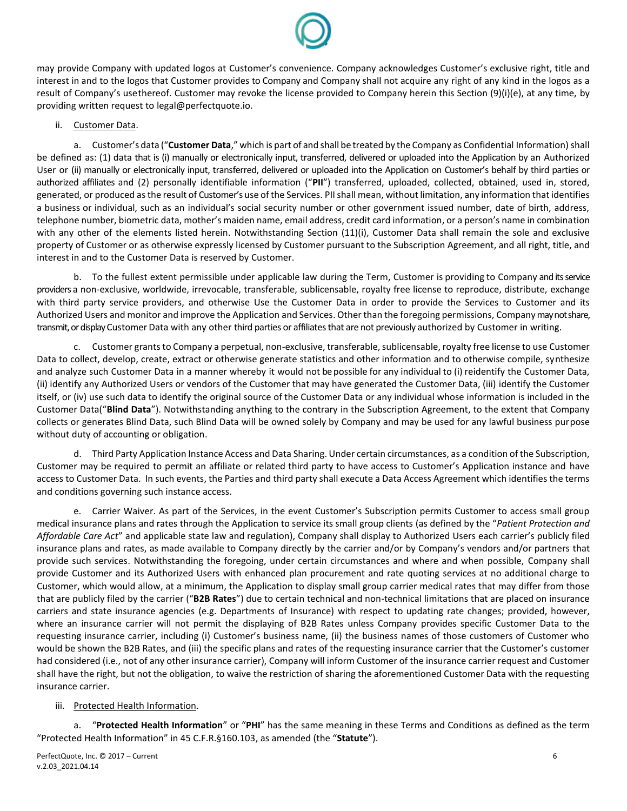

may provide Company with updated logos at Customer's convenience. Company acknowledges Customer's exclusive right, title and interest in and to the logos that Customer provides to Company and Company shall not acquire any right of any kind in the logos as a result of Company's usethereof. Customer may revoke the license provided to Company herein this Section (9)(i)(e), at any time, by providing written request to legal@perfectquote.io.

# ii. Customer Data.

a. Customer's data ("Customer Data," which is part of and shall be treated by the Company as Confidential Information) shall be defined as: (1) data that is (i) manually or electronically input, transferred, delivered or uploaded into the Application by an Authorized User or (ii) manually or electronically input, transferred, delivered or uploaded into the Application on Customer's behalf by third parties or authorized affiliates and (2) personally identifiable information ("**PII**") transferred, uploaded, collected, obtained, used in, stored, generated, or produced asthe result of Customer's use ofthe Services. PIIshall mean, without limitation, any information that identifies a business or individual, such as an individual's social security number or other government issued number, date of birth, address, telephone number, biometric data, mother's maiden name, email address, credit card information, or a person's name in combination with any other of the elements listed herein. Notwithstanding Section (11)(i), Customer Data shall remain the sole and exclusive property of Customer or as otherwise expressly licensed by Customer pursuant to the Subscription Agreement, and all right, title, and interest in and to the Customer Data is reserved by Customer.

b. To the fullest extent permissible under applicable law during the Term, Customer is providing to Company and its service providers a non-exclusive, worldwide, irrevocable, transferable, sublicensable, royalty free license to reproduce, distribute, exchange with third party service providers, and otherwise Use the Customer Data in order to provide the Services to Customer and its Authorized Users and monitor and improve the Application and Services. Other than the foregoing permissions, Companymay not share, transmit, or display Customer Data with any other third parties or affiliates that are not previously authorized by Customer in writing.

c. Customer grants to Company a perpetual, non-exclusive, transferable, sublicensable, royalty free license to use Customer Data to collect, develop, create, extract or otherwise generate statistics and other information and to otherwise compile, synthesize and analyze such Customer Data in a manner whereby it would not be possible for any individual to (i) reidentify the Customer Data, (ii) identify any Authorized Users or vendors of the Customer that may have generated the Customer Data, (iii) identify the Customer itself, or (iv) use such data to identify the original source of the Customer Data or any individual whose information is included in the Customer Data("**Blind Data**"). Notwithstanding anything to the contrary in the Subscription Agreement, to the extent that Company collects or generates Blind Data, such Blind Data will be owned solely by Company and may be used for any lawful business purpose without duty of accounting or obligation.

d. Third Party Application Instance Access and Data Sharing. Under certain circumstances, as a condition of the Subscription, Customer may be required to permit an affiliate or related third party to have access to Customer's Application instance and have access to Customer Data. In such events, the Parties and third party shall execute a Data Access Agreement which identifies the terms and conditions governing such instance access.

e. Carrier Waiver. As part of the Services, in the event Customer's Subscription permits Customer to access small group medical insurance plans and rates through the Application to service its small group clients (as defined by the "*Patient Protection and Affordable Care Act*" and applicable state law and regulation), Company shall display to Authorized Users each carrier's publicly filed insurance plans and rates, as made available to Company directly by the carrier and/or by Company's vendors and/or partners that provide such services. Notwithstanding the foregoing, under certain circumstances and where and when possible, Company shall provide Customer and its Authorized Users with enhanced plan procurement and rate quoting services at no additional charge to Customer, which would allow, at a minimum, the Application to display small group carrier medical rates that may differ from those that are publicly filed by the carrier ("**B2B Rates**") due to certain technical and non-technical limitations that are placed on insurance carriers and state insurance agencies (e.g. Departments of Insurance) with respect to updating rate changes; provided, however, where an insurance carrier will not permit the displaying of B2B Rates unless Company provides specific Customer Data to the requesting insurance carrier, including (i) Customer's business name, (ii) the business names of those customers of Customer who would be shown the B2B Rates, and (iii) the specific plans and rates of the requesting insurance carrier that the Customer's customer had considered (i.e., not of any other insurance carrier), Company will inform Customer of the insurance carrier request and Customer shall have the right, but not the obligation, to waive the restriction of sharing the aforementioned Customer Data with the requesting insurance carrier.

# iii. Protected Health Information.

a. "**Protected Health Information**" or "**PHI**" has the same meaning in these Terms and Conditions as defined as the term "Protected Health Information" in 45 C.F.R.§160.103, as amended (the "**Statute**").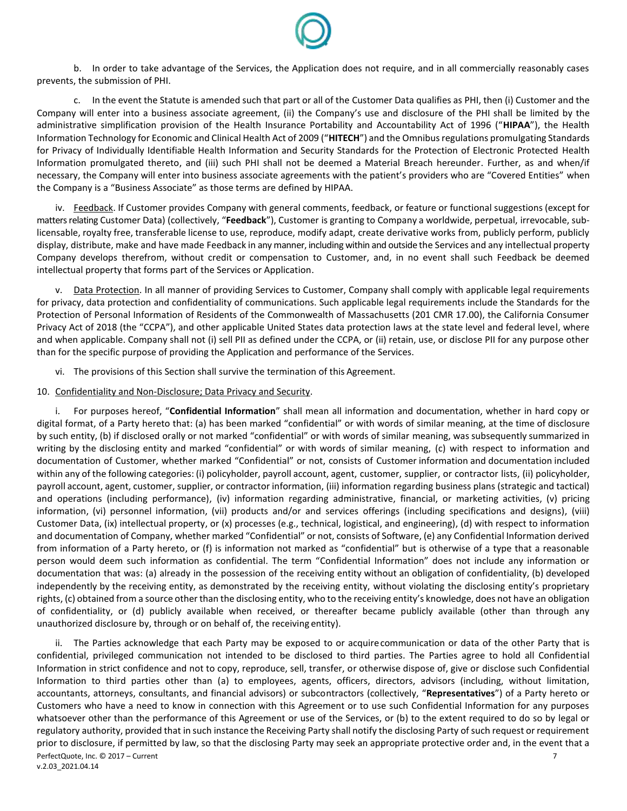

b. In order to take advantage of the Services, the Application does not require, and in all commercially reasonably cases prevents, the submission of PHI.

c. In the event the Statute is amended such that part or all of the Customer Data qualifies as PHI, then (i) Customer and the Company will enter into a business associate agreement, (ii) the Company's use and disclosure of the PHI shall be limited by the administrative simplification provision of the Health Insurance Portability and Accountability Act of 1996 ("**HIPAA**"), the Health Information Technology for Economic and Clinical Health Act of 2009 ("**HITECH**") and the Omnibus regulations promulgating Standards for Privacy of Individually Identifiable Health Information and Security Standards for the Protection of Electronic Protected Health Information promulgated thereto, and (iii) such PHI shall not be deemed a Material Breach hereunder. Further, as and when/if necessary, the Company will enter into business associate agreements with the patient's providers who are "Covered Entities" when the Company is a "Business Associate" as those terms are defined by HIPAA.

iv. Feedback. If Customer provides Company with general comments, feedback, or feature or functional suggestions (except for matters relating Customer Data) (collectively, "**Feedback**"), Customer is granting to Company a worldwide, perpetual, irrevocable, sublicensable, royalty free, transferable license to use, reproduce, modify adapt, create derivative works from, publicly perform, publicly display, distribute, make and have made Feedback in any manner, including within and outside the Services and any intellectual property Company develops therefrom, without credit or compensation to Customer, and, in no event shall such Feedback be deemed intellectual property that forms part of the Services or Application.

v. Data Protection. In all manner of providing Services to Customer, Company shall comply with applicable legal requirements for privacy, data protection and confidentiality of communications. Such applicable legal requirements include the Standards for the Protection of Personal Information of Residents of the Commonwealth of Massachusetts (201 CMR 17.00), the California Consumer Privacy Act of 2018 (the "CCPA"), and other applicable United States data protection laws at the state level and federal level, where and when applicable. Company shall not (i) sell PII as defined under the CCPA, or (ii) retain, use, or disclose PII for any purpose other than for the specific purpose of providing the Application and performance of the Services.

vi. The provisions of this Section shall survive the termination of this Agreement.

## 10. Confidentiality and Non-Disclosure; Data Privacy and Security.

i. For purposes hereof, "**Confidential Information**" shall mean all information and documentation, whether in hard copy or digital format, of a Party hereto that: (a) has been marked "confidential" or with words of similar meaning, at the time of disclosure by such entity, (b) if disclosed orally or not marked "confidential" or with words of similar meaning, was subsequently summarized in writing by the disclosing entity and marked "confidential" or with words of similar meaning, (c) with respect to information and documentation of Customer, whether marked "Confidential" or not, consists of Customer information and documentation included within any of the following categories: (i) policyholder, payroll account, agent, customer, supplier, or contractor lists, (ii) policyholder, payroll account, agent, customer, supplier, or contractor information, (iii) information regarding business plans (strategic and tactical) and operations (including performance), (iv) information regarding administrative, financial, or marketing activities, (v) pricing information, (vi) personnel information, (vii) products and/or and services offerings (including specifications and designs), (viii) Customer Data, (ix) intellectual property, or (x) processes (e.g., technical, logistical, and engineering), (d) with respect to information and documentation of Company, whether marked "Confidential" or not, consists of Software, (e) any Confidential Information derived from information of a Party hereto, or (f) is information not marked as "confidential" but is otherwise of a type that a reasonable person would deem such information as confidential. The term "Confidential Information" does not include any information or documentation that was: (a) already in the possession of the receiving entity without an obligation of confidentiality, (b) developed independently by the receiving entity, as demonstrated by the receiving entity, without violating the disclosing entity's proprietary rights, (c) obtained from a source other than the disclosing entity, who to the receiving entity's knowledge, does not have an obligation of confidentiality, or (d) publicly available when received, or thereafter became publicly available (other than through any unauthorized disclosure by, through or on behalf of, the receiving entity).

PerfectQuote, Inc. © 2017 – Current 7 v.2.03\_2021.04.14 ii. The Parties acknowledge that each Party may be exposed to or acquirecommunication or data of the other Party that is confidential, privileged communication not intended to be disclosed to third parties. The Parties agree to hold all Confidential Information in strict confidence and not to copy, reproduce, sell, transfer, or otherwise dispose of, give or disclose such Confidential Information to third parties other than (a) to employees, agents, officers, directors, advisors (including, without limitation, accountants, attorneys, consultants, and financial advisors) or subcontractors (collectively, "**Representatives**") of a Party hereto or Customers who have a need to know in connection with this Agreement or to use such Confidential Information for any purposes whatsoever other than the performance of this Agreement or use of the Services, or (b) to the extent required to do so by legal or regulatory authority, provided that in such instance the Receiving Party shall notify the disclosing Party of such request or requirement prior to disclosure, if permitted by law, so that the disclosing Party may seek an appropriate protective order and, in the event that a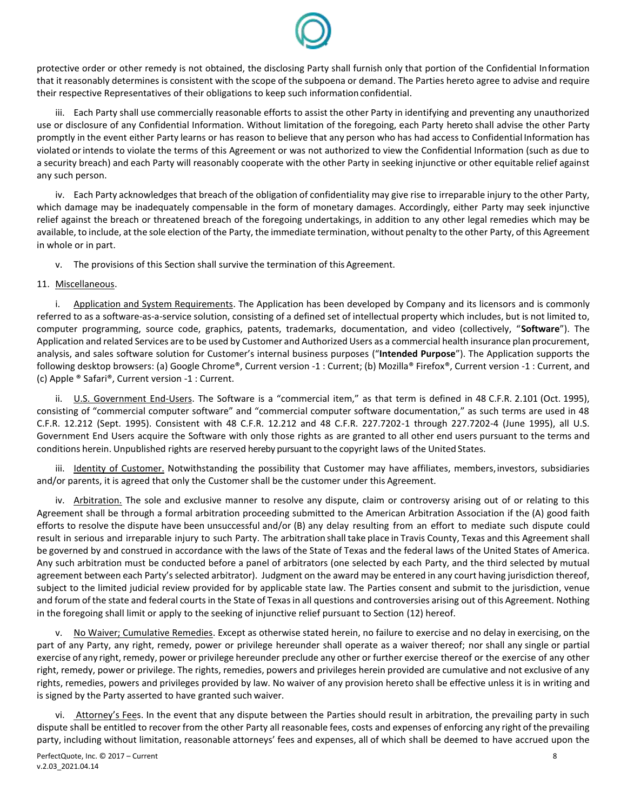

protective order or other remedy is not obtained, the disclosing Party shall furnish only that portion of the Confidential Information that it reasonably determines is consistent with the scope of the subpoena or demand. The Parties hereto agree to advise and require their respective Representatives of their obligations to keep such informationconfidential.

iii. Each Party shall use commercially reasonable efforts to assist the other Party in identifying and preventing any unauthorized use or disclosure of any Confidential Information. Without limitation of the foregoing, each Party hereto shall advise the other Party promptly in the event either Party learns or has reason to believe that any person who has had access to Confidential Information has violated orintends to violate the terms of this Agreement or was not authorized to view the Confidential Information (such as due to a security breach) and each Party will reasonably cooperate with the other Party in seeking injunctive or other equitable relief against any such person.

iv. Each Party acknowledges that breach of the obligation of confidentiality may give rise to irreparable injury to the other Party, which damage may be inadequately compensable in the form of monetary damages. Accordingly, either Party may seek injunctive relief against the breach or threatened breach of the foregoing undertakings, in addition to any other legal remedies which may be available, to include, at the sole election of the Party, the immediate termination, without penalty to the other Party, of this Agreement in whole or in part.

v. The provisions of this Section shall survive the termination of this Agreement.

# 11. Miscellaneous.

i. Application and System Requirements. The Application has been developed by Company and its licensors and is commonly referred to as a software-as-a-service solution, consisting of a defined set of intellectual property which includes, but is not limited to, computer programming, source code, graphics, patents, trademarks, documentation, and video (collectively, "**Software**"). The Application and related Services are to be used by Customer and Authorized Users as a commercial health insurance plan procurement, analysis, and sales software solution for Customer's internal business purposes ("**Intended Purpose**"). The Application supports the following desktop browsers: (a) Google Chrome®, Current version -1 : Current; (b) Mozilla® Firefox®, Current version -1 : Current, and (c) Apple ® Safari®, Current version -1 : Current.

ii. U.S. Government End-Users. The Software is a "commercial item," as that term is defined in 48 C.F.R. 2.101 (Oct. 1995), consisting of "commercial computer software" and "commercial computer software documentation," as such terms are used in 48 C.F.R. 12.212 (Sept. 1995). Consistent with 48 C.F.R. 12.212 and 48 C.F.R. 227.7202-1 through 227.7202-4 (June 1995), all U.S. Government End Users acquire the Software with only those rights as are granted to all other end users pursuant to the terms and conditions herein. Unpublished rights are reserved hereby pursuant to the copyright laws of the United States.

iii. Identity of Customer. Notwithstanding the possibility that Customer may have affiliates, members, investors, subsidiaries and/or parents, it is agreed that only the Customer shall be the customer under this Agreement.

iv. Arbitration. The sole and exclusive manner to resolve any dispute, claim or controversy arising out of or relating to this Agreement shall be through a formal arbitration proceeding submitted to the American Arbitration Association if the (A) good faith efforts to resolve the dispute have been unsuccessful and/or (B) any delay resulting from an effort to mediate such dispute could result in serious and irreparable injury to such Party. The arbitration shall take place in Travis County, Texas and this Agreement shall be governed by and construed in accordance with the laws of the State of Texas and the federal laws of the United States of America. Any such arbitration must be conducted before a panel of arbitrators (one selected by each Party, and the third selected by mutual agreement between each Party's selected arbitrator). Judgment on the award may be entered in any court having jurisdiction thereof, subject to the limited judicial review provided for by applicable state law. The Parties consent and submit to the jurisdiction, venue and forum of the state and federal courts in the State of Texas in all questions and controversies arising out of this Agreement. Nothing in the foregoing shall limit or apply to the seeking of injunctive relief pursuant to Section (12) hereof.

v. No Waiver; Cumulative Remedies. Except as otherwise stated herein, no failure to exercise and no delay in exercising, on the part of any Party, any right, remedy, power or privilege hereunder shall operate as a waiver thereof; nor shall any single or partial exercise of any right, remedy, power or privilege hereunder preclude any other or further exercise thereof or the exercise of any other right, remedy, power or privilege. The rights, remedies, powers and privileges herein provided are cumulative and not exclusive of any rights, remedies, powers and privileges provided by law. No waiver of any provision hereto shall be effective unless it is in writing and is signed by the Party asserted to have granted such waiver.

vi. Attorney's Fees. In the event that any dispute between the Parties should result in arbitration, the prevailing party in such dispute shall be entitled to recover from the other Party all reasonable fees, costs and expenses of enforcing any right ofthe prevailing party, including without limitation, reasonable attorneys' fees and expenses, all of which shall be deemed to have accrued upon the